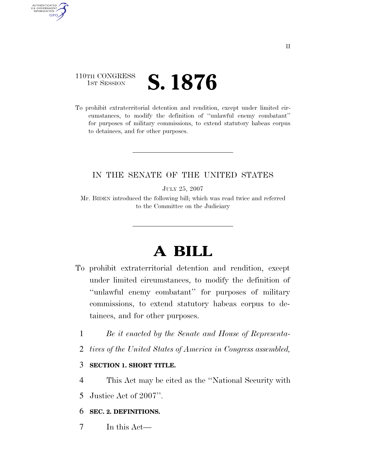## 110TH CONGRESS **IST SESSION S. 1876**

AUTHENTICATED U.S. GOVERNMENT GPO

> To prohibit extraterritorial detention and rendition, except under limited circumstances, to modify the definition of ''unlawful enemy combatant'' for purposes of military commissions, to extend statutory habeas corpus to detainees, and for other purposes.

### IN THE SENATE OF THE UNITED STATES

JULY 25, 2007

Mr. BIDEN introduced the following bill; which was read twice and referred to the Committee on the Judiciary

# **A BILL**

- To prohibit extraterritorial detention and rendition, except under limited circumstances, to modify the definition of ''unlawful enemy combatant'' for purposes of military commissions, to extend statutory habeas corpus to detainees, and for other purposes.
	- 1 *Be it enacted by the Senate and House of Representa-*
	- 2 *tives of the United States of America in Congress assembled,*

### 3 **SECTION 1. SHORT TITLE.**

- 4 This Act may be cited as the ''National Security with
- 5 Justice Act of 2007''.

### 6 **SEC. 2. DEFINITIONS.**

7 In this Act—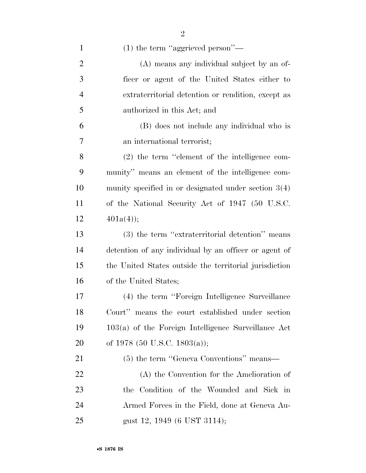| $\mathbf{1}$   | $(1)$ the term "aggrieved person"—                     |
|----------------|--------------------------------------------------------|
| $\overline{2}$ | (A) means any individual subject by an of-             |
| 3              | ficer or agent of the United States either to          |
| 4              | extraterritorial detention or rendition, except as     |
| 5              | authorized in this Act; and                            |
| 6              | (B) does not include any individual who is             |
| 7              | an international terrorist;                            |
| 8              | $(2)$ the term "element of the intelligence com-       |
| 9              | munity" means an element of the intelligence com-      |
| 10             | munity specified in or designated under section $3(4)$ |
| 11             | of the National Security Act of 1947 (50 U.S.C.        |
| 12             | $401a(4)$ ;                                            |
| 13             | (3) the term "extraterritorial detention" means        |
| 14             | detention of any individual by an officer or agent of  |
| 15             | the United States outside the territorial jurisdiction |
| 16             | of the United States;                                  |
| 17             | (4) the term "Foreign Intelligence Surveillance        |
| 18             | Court" means the court established under section       |
| 19             | $103(a)$ of the Foreign Intelligence Surveillance Act  |
| 20             | of 1978 (50 U.S.C. 1803(a));                           |
| 21             | (5) the term "Geneva Conventions" means—               |
| 22             | (A) the Convention for the Amelioration of             |
| 23             | the Condition of the Wounded and Sick in               |
| 24             | Armed Forces in the Field, done at Geneva Au-          |
| 25             | gust 12, 1949 (6 UST 3114);                            |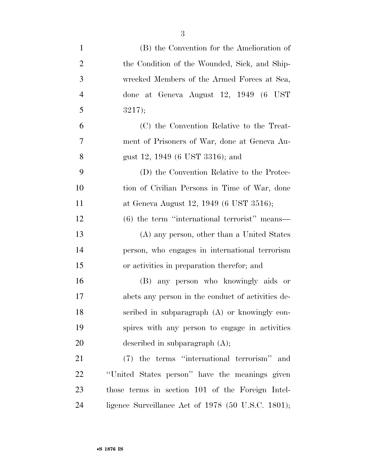| $\mathbf{1}$   | (B) the Convention for the Amelioration of           |
|----------------|------------------------------------------------------|
| $\overline{2}$ | the Condition of the Wounded, Sick, and Ship-        |
| 3              | wrecked Members of the Armed Forces at Sea,          |
| $\overline{4}$ | done at Geneva August 12, 1949 (6 UST                |
| 5              | 3217);                                               |
| 6              | (C) the Convention Relative to the Treat-            |
| 7              | ment of Prisoners of War, done at Geneva Au-         |
| 8              | gust 12, 1949 (6 UST 3316); and                      |
| 9              | (D) the Convention Relative to the Protec-           |
| 10             | tion of Civilian Persons in Time of War, done        |
| 11             | at Geneva August 12, 1949 (6 UST 3516);              |
| 12             | $(6)$ the term "international terrorist" means—      |
| 13             | (A) any person, other than a United States           |
| 14             | person, who engages in international terrorism       |
| 15             | or activities in preparation therefor; and           |
| 16             | (B) any person who knowingly aids or                 |
| 17             | abets any person in the conduct of activities de-    |
| 18             | scribed in subparagraph (A) or knowingly con-        |
| 19             | spires with any person to engage in activities       |
| 20             | described in subparagraph $(A)$ ;                    |
| 21             | (7) the terms "international terrorism" and          |
| 22             | "United States person" have the meanings given       |
| 23             | those terms in section 101 of the Foreign Intel-     |
| 24             | ligence Surveillance Act of $1978$ (50 U.S.C. 1801); |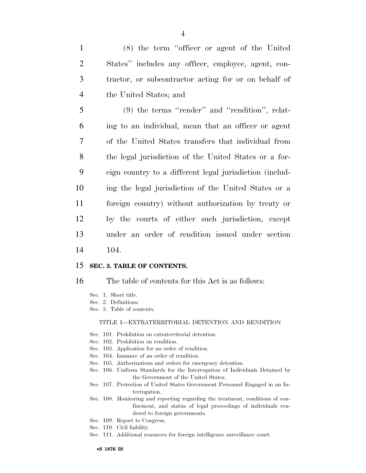| $\mathbf{1}$   | (8) the term "officer or agent of the United                   |
|----------------|----------------------------------------------------------------|
| 2              | States" includes any officer, employee, agent, con-            |
| 3              | tractor, or subcontractor acting for or on behalf of           |
| $\overline{4}$ | the United States; and                                         |
| 5              | $(9)$ the terms "render" and "rendition", relat-               |
| 6              | ing to an individual, mean that an officer or agent            |
|                | $\mathcal{L}$ the Hills decline therefore that individual from |

 of the United States transfers that individual from the legal jurisdiction of the United States or a for- eign country to a different legal jurisdiction (includ- ing the legal jurisdiction of the United States or a foreign country) without authorization by treaty or by the courts of either such jurisdiction, except under an order of rendition issued under section 14 104.

### 15 **SEC. 3. TABLE OF CONTENTS.**

16 The table of contents for this Act is as follows:

- Sec. 1. Short title.
- Sec. 2. Definitions.
- Sec. 3. Table of contents.

#### TITLE I—EXTRATERRITORIAL DETENTION AND RENDITION

- Sec. 101. Prohibition on extraterritorial detention.
- Sec. 102. Prohibition on rendition.
- Sec. 103. Application for an order of rendition.
- Sec. 104. Issuance of an order of rendition.
- Sec. 105. Authorizations and orders for emergency detention.
- Sec. 106. Uniform Standards for the Interrogation of Individuals Detained by the Government of the United States.
- Sec. 107. Protection of United States Government Personnel Engaged in an Interrogation.
- Sec. 108. Monitoring and reporting regarding the treatment, conditions of confinement, and status of legal proceedings of individuals rendered to foreign governments.
- Sec. 109. Report to Congress.
- Sec. 110. Civil liability.
- Sec. 111. Additional resources for foreign intelligence surveillance court.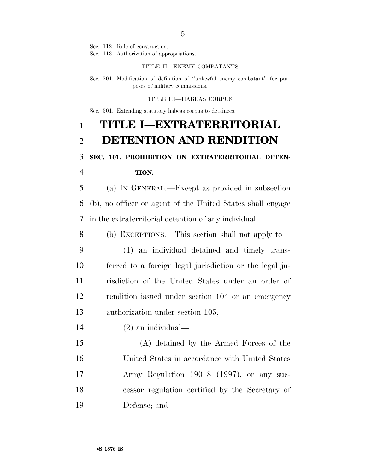Sec. 112. Rule of construction.

Sec. 113. Authorization of appropriations.

#### TITLE II—ENEMY COMBATANTS

Sec. 201. Modification of definition of ''unlawful enemy combatant'' for purposes of military commissions.

#### TITLE III—HABEAS CORPUS

Sec. 301. Extending statutory habeas corpus to detainees.

## **TITLE I—EXTRATERRITORIAL DETENTION AND RENDITION**

## **SEC. 101. PROHIBITION ON EXTRATERRITORIAL DETEN-TION.**

 (a) IN GENERAL.—Except as provided in subsection (b), no officer or agent of the United States shall engage in the extraterritorial detention of any individual.

 (b) EXCEPTIONS.—This section shall not apply to— (1) an individual detained and timely trans- ferred to a foreign legal jurisdiction or the legal ju- risdiction of the United States under an order of rendition issued under section 104 or an emergency authorization under section 105;

(2) an individual—

 (A) detained by the Armed Forces of the United States in accordance with United States Army Regulation 190–8 (1997), or any suc- cessor regulation certified by the Secretary of Defense; and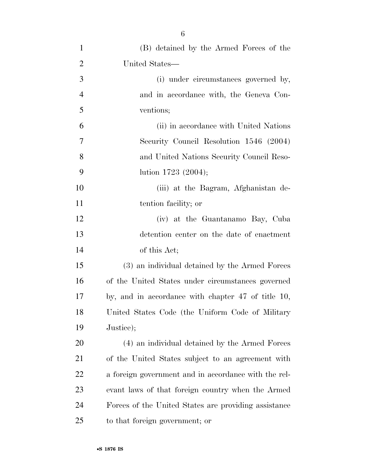| $\mathbf{1}$   | (B) detained by the Armed Forces of the              |
|----------------|------------------------------------------------------|
| $\overline{2}$ | United States—                                       |
| 3              | (i) under circumstances governed by,                 |
| $\overline{4}$ | and in accordance with, the Geneva Con-              |
| 5              | ventions;                                            |
| 6              | (ii) in accordance with United Nations               |
| 7              | Security Council Resolution 1546 (2004)              |
| 8              | and United Nations Security Council Reso-            |
| 9              | lution $1723 (2004);$                                |
| 10             | (iii) at the Bagram, Afghanistan de-                 |
| 11             | tention facility; or                                 |
| 12             | (iv) at the Guantanamo Bay, Cuba                     |
| 13             | detention center on the date of enactment            |
| 14             | of this Act;                                         |
| 15             | (3) an individual detained by the Armed Forces       |
| 16             | of the United States under circumstances governed    |
| 17             | by, and in accordance with chapter 47 of title 10,   |
| 18             | United States Code (the Uniform Code of Military     |
| 19             | Justice);                                            |
| 20             | (4) an individual detained by the Armed Forces       |
| 21             | of the United States subject to an agreement with    |
| 22             | a foreign government and in accordance with the rel- |
| 23             | evant laws of that foreign country when the Armed    |
| 24             | Forces of the United States are providing assistance |
| 25             | to that foreign government; or                       |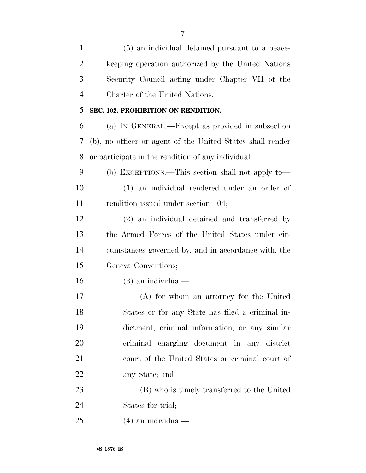| $\mathbf{1}$   | (5) an individual detained pursuant to a peace-            |
|----------------|------------------------------------------------------------|
| $\overline{2}$ | keeping operation authorized by the United Nations         |
| 3              | Security Council acting under Chapter VII of the           |
| $\overline{4}$ | Charter of the United Nations.                             |
| 5              | SEC. 102. PROHIBITION ON RENDITION.                        |
| 6              | (a) IN GENERAL.—Except as provided in subsection           |
| 7              | (b), no officer or agent of the United States shall render |
| 8              | or participate in the rendition of any individual.         |
| 9              | (b) EXCEPTIONS.—This section shall not apply to—           |
| 10             | (1) an individual rendered under an order of               |
| 11             | rendition issued under section 104;                        |
| 12             | (2) an individual detained and transferred by              |
| 13             | the Armed Forces of the United States under cir-           |
| 14             | cumstances governed by, and in accordance with, the        |
| 15             | Geneva Conventions;                                        |
| 16             | $(3)$ an individual—                                       |
| 17             | (A) for whom an attorney for the United                    |
| 18             | States or for any State has filed a criminal in-           |
| 19             | dictment, criminal information, or any similar             |
| 20             | criminal charging document in any district                 |
| 21             | court of the United States or criminal court of            |
| 22             | any State; and                                             |
| 23             | (B) who is timely transferred to the United                |
| 24             | States for trial;                                          |
|                |                                                            |

(4) an individual—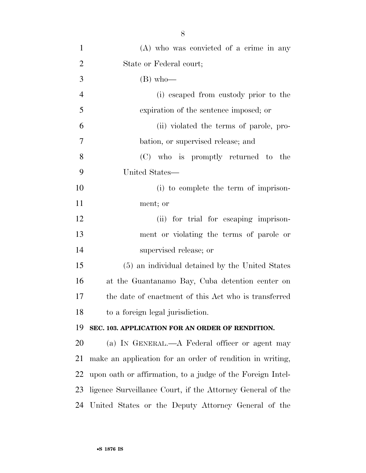| $\mathbf{1}$   | $(A)$ who was convicted of a crime in any                  |
|----------------|------------------------------------------------------------|
| $\overline{2}$ | State or Federal court;                                    |
| 3              | $(B)$ who-                                                 |
| $\overline{4}$ | (i) escaped from custody prior to the                      |
| 5              | expiration of the sentence imposed; or                     |
| 6              | (ii) violated the terms of parole, pro-                    |
| 7              | bation, or supervised release; and                         |
| 8              | (C) who is promptly returned to the                        |
| 9              | United States—                                             |
| 10             | (i) to complete the term of imprison-                      |
| 11             | ment; or                                                   |
| 12             | (ii) for trial for escaping imprison-                      |
| 13             | ment or violating the terms of parole or                   |
| 14             | supervised release; or                                     |
| 15             | (5) an individual detained by the United States            |
| 16             | at the Guantanamo Bay, Cuba detention center on            |
| 17             | the date of enactment of this Act who is transferred       |
| 18             | to a foreign legal jurisdiction.                           |
| 19             | SEC. 103. APPLICATION FOR AN ORDER OF RENDITION.           |
| 20             | (a) IN GENERAL.—A Federal officer or agent may             |
| 21             | make an application for an order of rendition in writing,  |
| 22             | upon oath or affirmation, to a judge of the Foreign Intel- |
| 23             | ligence Surveillance Court, if the Attorney General of the |
| 24             | United States or the Deputy Attorney General of the        |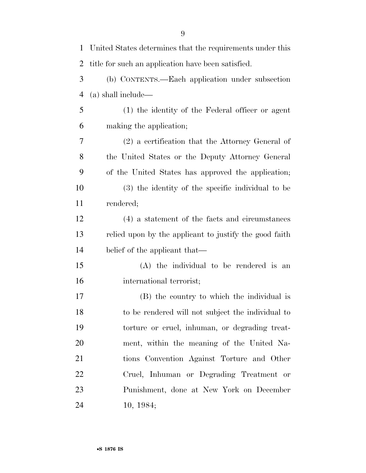| $\mathbf{1}$   | United States determines that the requirements under this |
|----------------|-----------------------------------------------------------|
| $\overline{2}$ | title for such an application have been satisfied.        |
| 3              | (b) CONTENTS.—Each application under subsection           |
| $\overline{4}$ | (a) shall include—                                        |
| 5              | (1) the identity of the Federal officer or agent          |
| 6              | making the application;                                   |
| 7              | $(2)$ a certification that the Attorney General of        |
| 8              | the United States or the Deputy Attorney General          |
| 9              | of the United States has approved the application;        |
| 10             | (3) the identity of the specific individual to be         |
| 11             | rendered;                                                 |
| 12             | (4) a statement of the facts and circumstances            |
| 13             | relied upon by the applicant to justify the good faith    |
| 14             | belief of the applicant that—                             |
| 15             | (A) the individual to be rendered is an                   |
| 16             | international terrorist;                                  |
| 17             | (B) the country to which the individual is                |
| 18             | to be rendered will not subject the individual to         |
| 19             | torture or cruel, inhuman, or degrading treat-            |
| 20             | ment, within the meaning of the United Na-                |
| 21             | tions Convention Against Torture and Other                |
| 22             | Cruel, Inhuman or Degrading Treatment or                  |
| 23             | Punishment, done at New York on December                  |
| 24             | 10, 1984;                                                 |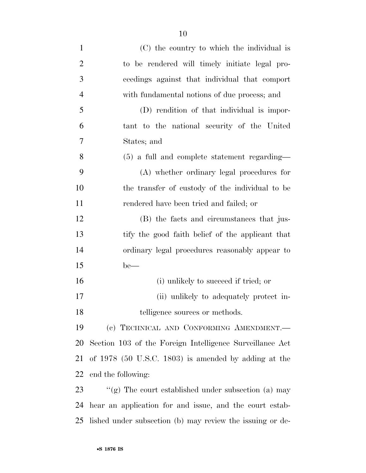| $\mathbf{1}$   | (C) the country to which the individual is                |
|----------------|-----------------------------------------------------------|
| $\overline{2}$ | to be rendered will timely initiate legal pro-            |
| 3              | ceedings against that individual that comport             |
| $\overline{4}$ | with fundamental notions of due process; and              |
| 5              | (D) rendition of that individual is impor-                |
| 6              | tant to the national security of the United               |
| 7              | States; and                                               |
| 8              | $(5)$ a full and complete statement regarding—            |
| 9              | (A) whether ordinary legal procedures for                 |
| 10             | the transfer of custody of the individual to be           |
| 11             | rendered have been tried and failed; or                   |
| 12             | (B) the facts and circumstances that jus-                 |
| 13             | tify the good faith belief of the applicant that          |
| 14             | ordinary legal procedures reasonably appear to            |
| 15             | $be$ —                                                    |
| 16             | (i) unlikely to succeed if tried; or                      |
| 17             | (ii) unlikely to adequately protect in-                   |
| 18             | telligence sources or methods.                            |
| 19             | (c) TECHNICAL AND CONFORMING AMENDMENT.-                  |
| 20             | Section 103 of the Foreign Intelligence Surveillance Act  |
| 21             | of $1978$ (50 U.S.C. 1803) is amended by adding at the    |
| 22             | end the following:                                        |
| 23             | "(g) The court established under subsection (a) may       |
| 24             | hear an application for and issue, and the court estab-   |
| 25             | lished under subsection (b) may review the issuing or de- |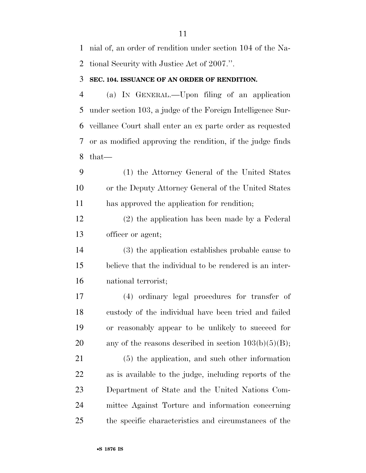nial of, an order of rendition under section 104 of the Na-tional Security with Justice Act of 2007.''.

### **SEC. 104. ISSUANCE OF AN ORDER OF RENDITION.**

 (a) IN GENERAL.—Upon filing of an application under section 103, a judge of the Foreign Intelligence Sur- veillance Court shall enter an ex parte order as requested or as modified approving the rendition, if the judge finds that—

 (1) the Attorney General of the United States or the Deputy Attorney General of the United States has approved the application for rendition;

 (2) the application has been made by a Federal officer or agent;

 (3) the application establishes probable cause to believe that the individual to be rendered is an inter-national terrorist;

 (4) ordinary legal procedures for transfer of custody of the individual have been tried and failed or reasonably appear to be unlikely to succeed for 20 any of the reasons described in section  $103(b)(5)(B)$ ;

 (5) the application, and such other information as is available to the judge, including reports of the Department of State and the United Nations Com- mittee Against Torture and information concerning the specific characteristics and circumstances of the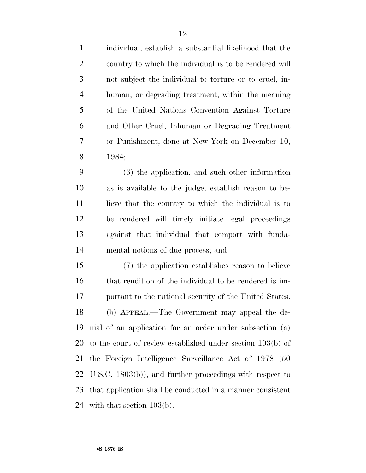individual, establish a substantial likelihood that the country to which the individual is to be rendered will not subject the individual to torture or to cruel, in- human, or degrading treatment, within the meaning of the United Nations Convention Against Torture and Other Cruel, Inhuman or Degrading Treatment or Punishment, done at New York on December 10, 1984;

 (6) the application, and such other information as is available to the judge, establish reason to be-11 lieve that the country to which the individual is to be rendered will timely initiate legal proceedings against that individual that comport with funda-mental notions of due process; and

 (7) the application establishes reason to believe 16 that rendition of the individual to be rendered is im- portant to the national security of the United States. (b) APPEAL.—The Government may appeal the de- nial of an application for an order under subsection (a) to the court of review established under section 103(b) of the Foreign Intelligence Surveillance Act of 1978 (50 U.S.C. 1803(b)), and further proceedings with respect to that application shall be conducted in a manner consistent with that section 103(b).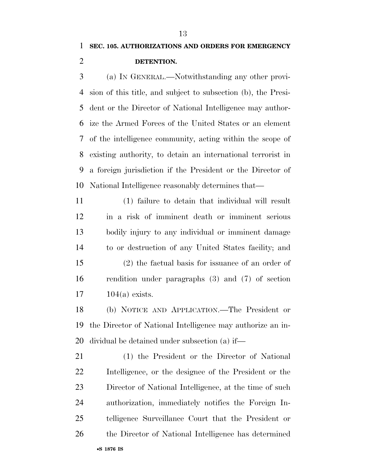(a) IN GENERAL.—Notwithstanding any other provi- sion of this title, and subject to subsection (b), the Presi- dent or the Director of National Intelligence may author- ize the Armed Forces of the United States or an element of the intelligence community, acting within the scope of existing authority, to detain an international terrorist in a foreign jurisdiction if the President or the Director of National Intelligence reasonably determines that—

 (1) failure to detain that individual will result in a risk of imminent death or imminent serious bodily injury to any individual or imminent damage to or destruction of any United States facility; and (2) the factual basis for issuance of an order of rendition under paragraphs (3) and (7) of section 104(a) exists.

 (b) NOTICE AND APPLICATION.—The President or the Director of National Intelligence may authorize an in-dividual be detained under subsection (a) if—

 (1) the President or the Director of National Intelligence, or the designee of the President or the Director of National Intelligence, at the time of such authorization, immediately notifies the Foreign In- telligence Surveillance Court that the President or the Director of National Intelligence has determined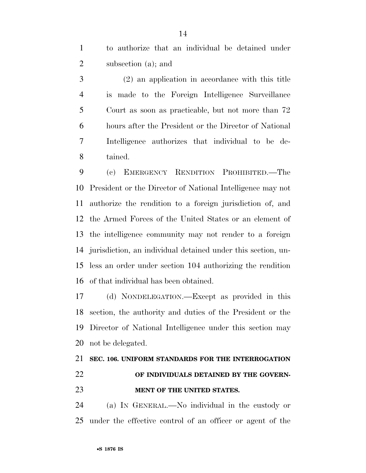to authorize that an individual be detained under subsection (a); and

 (2) an application in accordance with this title is made to the Foreign Intelligence Surveillance Court as soon as practicable, but not more than 72 hours after the President or the Director of National Intelligence authorizes that individual to be de-tained.

 (c) EMERGENCY RENDITION PROHIBITED.—The President or the Director of National Intelligence may not authorize the rendition to a foreign jurisdiction of, and the Armed Forces of the United States or an element of the intelligence community may not render to a foreign jurisdiction, an individual detained under this section, un- less an order under section 104 authorizing the rendition of that individual has been obtained.

 (d) NONDELEGATION.—Except as provided in this section, the authority and duties of the President or the Director of National Intelligence under this section may not be delegated.

# **SEC. 106. UNIFORM STANDARDS FOR THE INTERROGATION OF INDIVIDUALS DETAINED BY THE GOVERN-MENT OF THE UNITED STATES.**

 (a) IN GENERAL.—No individual in the custody or under the effective control of an officer or agent of the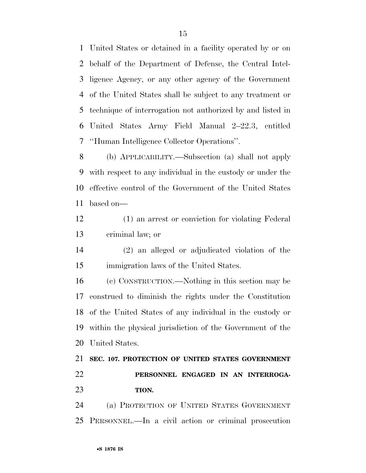United States or detained in a facility operated by or on behalf of the Department of Defense, the Central Intel- ligence Agency, or any other agency of the Government of the United States shall be subject to any treatment or technique of interrogation not authorized by and listed in United States Army Field Manual 2–22.3, entitled ''Human Intelligence Collector Operations''.

 (b) APPLICABILITY.—Subsection (a) shall not apply with respect to any individual in the custody or under the effective control of the Government of the United States based on—

- (1) an arrest or conviction for violating Federal criminal law; or
- (2) an alleged or adjudicated violation of the immigration laws of the United States.

 (c) CONSTRUCTION.—Nothing in this section may be construed to diminish the rights under the Constitution of the United States of any individual in the custody or within the physical jurisdiction of the Government of the United States.

## **SEC. 107. PROTECTION OF UNITED STATES GOVERNMENT PERSONNEL ENGAGED IN AN INTERROGA-TION.**

 (a) PROTECTION OF UNITED STATES GOVERNMENT PERSONNEL.—In a civil action or criminal prosecution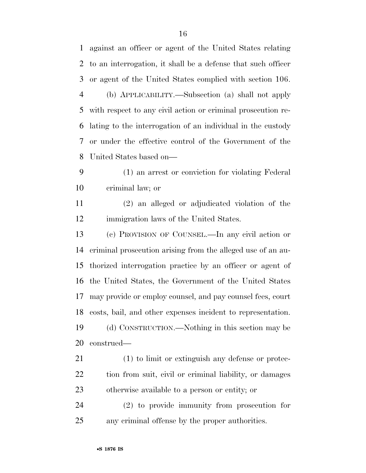against an officer or agent of the United States relating to an interrogation, it shall be a defense that such officer or agent of the United States complied with section 106. (b) APPLICABILITY.—Subsection (a) shall not apply with respect to any civil action or criminal prosecution re- lating to the interrogation of an individual in the custody or under the effective control of the Government of the United States based on— (1) an arrest or conviction for violating Federal

criminal law; or

 (2) an alleged or adjudicated violation of the immigration laws of the United States.

 (c) PROVISION OF COUNSEL.—In any civil action or criminal prosecution arising from the alleged use of an au- thorized interrogation practice by an officer or agent of the United States, the Government of the United States may provide or employ counsel, and pay counsel fees, court costs, bail, and other expenses incident to representation. (d) CONSTRUCTION.—Nothing in this section may be construed—

 (1) to limit or extinguish any defense or protec- tion from suit, civil or criminal liability, or damages otherwise available to a person or entity; or

 (2) to provide immunity from prosecution for any criminal offense by the proper authorities.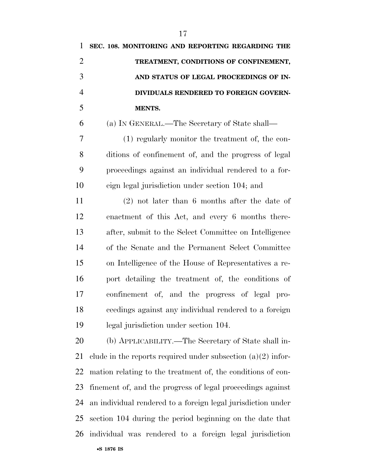| 1              | SEC. 108. MONITORING AND REPORTING REGARDING THE               |
|----------------|----------------------------------------------------------------|
| $\overline{2}$ | TREATMENT, CONDITIONS OF CONFINEMENT,                          |
| 3              | AND STATUS OF LEGAL PROCEEDINGS OF IN-                         |
| $\overline{4}$ | DIVIDUALS RENDERED TO FOREIGN GOVERN-                          |
| 5              | MENTS.                                                         |
| 6              | (a) IN GENERAL.—The Secretary of State shall—                  |
| 7              | (1) regularly monitor the treatment of, the con-               |
| 8              | ditions of confinement of, and the progress of legal           |
| 9              | proceedings against an individual rendered to a for-           |
| 10             | eign legal jurisdiction under section 104; and                 |
| 11             | $(2)$ not later than 6 months after the date of                |
| 12             | enactment of this Act, and every 6 months there-               |
| 13             | after, submit to the Select Committee on Intelligence          |
| 14             | of the Senate and the Permanent Select Committee               |
| 15             | on Intelligence of the House of Representatives a re-          |
| 16             | port detailing the treatment of, the conditions of             |
| 17             | confinement of, and the progress of legal pro-                 |
| 18             | ceedings against any individual rendered to a foreign          |
| 19             | legal jurisdiction under section 104.                          |
| 20             | (b) APPLICABILITY.—The Secretary of State shall in-            |
| 21             | clude in the reports required under subsection $(a)(2)$ infor- |
| 22             | mation relating to the treatment of, the conditions of con-    |
|                |                                                                |

 an individual rendered to a foreign legal jurisdiction under section 104 during the period beginning on the date that

finement of, and the progress of legal proceedings against

individual was rendered to a foreign legal jurisdiction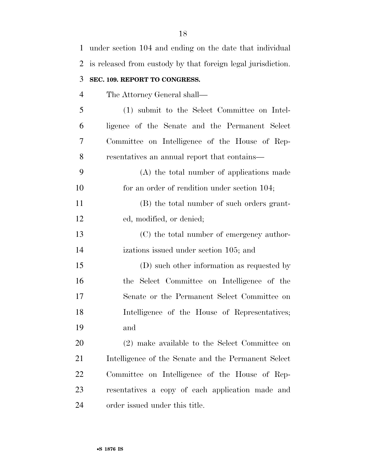| $\mathbf 1$    | under section 104 and ending on the date that individual     |
|----------------|--------------------------------------------------------------|
| 2              | is released from custody by that foreign legal jurisdiction. |
| 3              | SEC. 109. REPORT TO CONGRESS.                                |
| $\overline{4}$ | The Attorney General shall—                                  |
| 5              | (1) submit to the Select Committee on Intel-                 |
| 6              | ligence of the Senate and the Permanent Select               |
| 7              | Committee on Intelligence of the House of Rep-               |
| 8              | resentatives an annual report that contains—                 |
| 9              | (A) the total number of applications made                    |
| 10             | for an order of rendition under section 104;                 |
| 11             | (B) the total number of such orders grant-                   |
| 12             | ed, modified, or denied;                                     |
| 13             | (C) the total number of emergency author-                    |
| 14             | izations issued under section 105; and                       |
| 15             | (D) such other information as requested by                   |
| 16             | the Select Committee on Intelligence of the                  |
| 17             | Senate or the Permanent Select Committee on                  |
| 18             | Intelligence of the House of Representatives;                |
| 19             | and                                                          |
| 20             | (2) make available to the Select Committee on                |
| 21             | Intelligence of the Senate and the Permanent Select          |
| 22             | Committee on Intelligence of the House of Rep-               |
| 23             | resentatives a copy of each application made and             |
| 24             | order issued under this title.                               |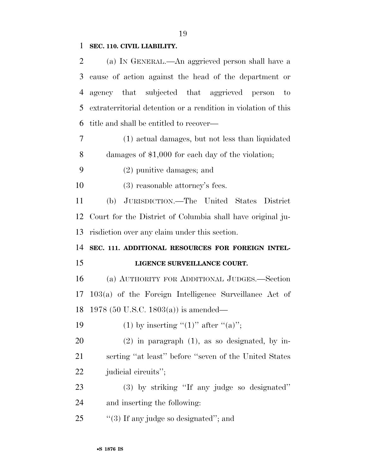### **SEC. 110. CIVIL LIABILITY.**

| 2              | (a) IN GENERAL.—An aggrieved person shall have a               |
|----------------|----------------------------------------------------------------|
| 3              | cause of action against the head of the department or          |
| $\overline{4}$ | agency that subjected that aggrieved person<br>$\circ$ to      |
| 5              | extraterritorial detention or a rendition in violation of this |
| 6              | title and shall be entitled to recover—                        |
| 7              | (1) actual damages, but not less than liquidated               |
| 8              | damages of $$1,000$ for each day of the violation;             |
| 9              | $(2)$ punitive damages; and                                    |
| 10             | $(3)$ reasonable attorney's fees.                              |
| 11             | (b) JURISDICTION.—The United States District                   |
| 12             | Court for the District of Columbia shall have original ju-     |
| 13             | risdiction over any claim under this section.                  |
|                |                                                                |
| 14             | SEC. 111. ADDITIONAL RESOURCES FOR FOREIGN INTEL-              |
| 15             | LIGENCE SURVEILLANCE COURT.                                    |
| 16             | (a) AUTHORITY FOR ADDITIONAL JUDGES.—Section                   |
| 17             | $103(a)$ of the Foreign Intelligence Surveillance Act of       |
| 18             | 1978 (50 U.S.C. 1803(a)) is amended—                           |
| 19             | (1) by inserting "(1)" after "(a)";                            |
| 20             | $(2)$ in paragraph $(1)$ , as so designated, by in-            |
| 21             | serting "at least" before "seven of the United States          |
| 22             | judicial circuits";                                            |
| 23             | (3) by striking "If any judge so designated"                   |
| 24             | and inserting the following:                                   |
| 25             | $\lq(3)$ If any judge so designated"; and                      |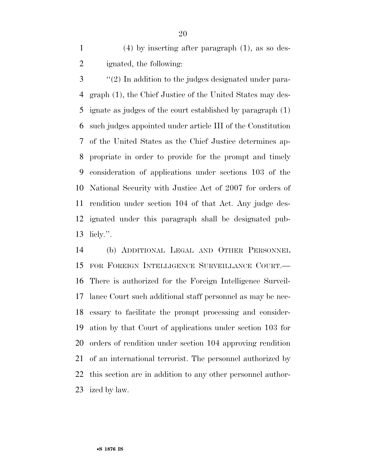(4) by inserting after paragraph (1), as so des-ignated, the following:

 ''(2) In addition to the judges designated under para- graph (1), the Chief Justice of the United States may des- ignate as judges of the court established by paragraph (1) such judges appointed under article III of the Constitution of the United States as the Chief Justice determines ap- propriate in order to provide for the prompt and timely consideration of applications under sections 103 of the National Security with Justice Act of 2007 for orders of rendition under section 104 of that Act. Any judge des- ignated under this paragraph shall be designated pub-licly.''.

 (b) ADDITIONAL LEGAL AND OTHER PERSONNEL FOR FOREIGN INTELLIGENCE SURVEILLANCE COURT.— There is authorized for the Foreign Intelligence Surveil- lance Court such additional staff personnel as may be nec- essary to facilitate the prompt processing and consider- ation by that Court of applications under section 103 for orders of rendition under section 104 approving rendition of an international terrorist. The personnel authorized by this section are in addition to any other personnel author-ized by law.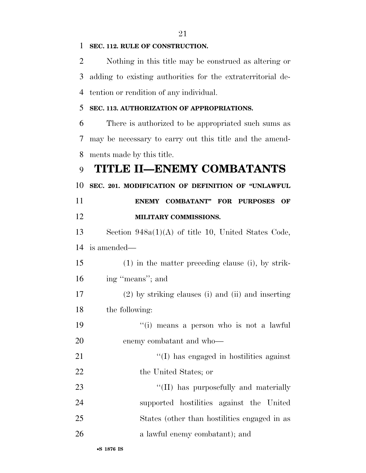Nothing in this title may be construed as altering or adding to existing authorities for the extraterritorial de- tention or rendition of any individual. **SEC. 113. AUTHORIZATION OF APPROPRIATIONS.**  There is authorized to be appropriated such sums as may be necessary to carry out this title and the amend- ments made by this title. **TITLE II—ENEMY COMBATANTS SEC. 201. MODIFICATION OF DEFINITION OF ''UNLAWFUL ENEMY COMBATANT'' FOR PURPOSES OF MILITARY COMMISSIONS.**  Section 948a(1)(A) of title 10, United States Code, is amended— (1) in the matter preceding clause (i), by strik- ing ''means''; and (2) by striking clauses (i) and (ii) and inserting the following: 19 ''(i) means a person who is not a lawful enemy combatant and who— ''(I) has engaged in hostilities against 22 the United States; or  $\frac{1}{2}$  (II) has purposefully and materially supported hostilities against the United States (other than hostilities engaged in as

**SEC. 112. RULE OF CONSTRUCTION.**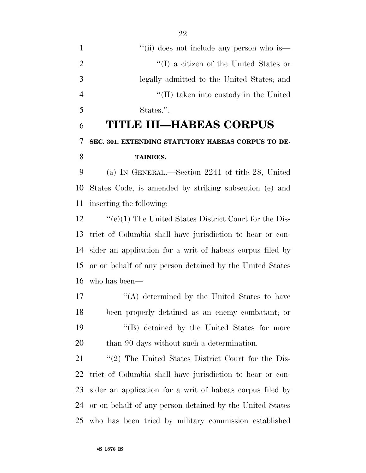1 ''(ii) does not include any person who is  $\langle (I) \rangle$  a citizen of the United States or legally admitted to the United States; and ''(II) taken into custody in the United States.''.

# **TITLE III—HABEAS CORPUS SEC. 301. EXTENDING STATUTORY HABEAS CORPUS TO DE-TAINEES.**

 (a) IN GENERAL.—Section 2241 of title 28, United States Code, is amended by striking subsection (e) and inserting the following:

 ''(e)(1) The United States District Court for the Dis- trict of Columbia shall have jurisdiction to hear or con- sider an application for a writ of habeas corpus filed by or on behalf of any person detained by the United States who has been—

 $'(\mathbf{A})$  determined by the United States to have been properly detained as an enemy combatant; or ''(B) detained by the United States for more than 90 days without such a determination.

 ''(2) The United States District Court for the Dis- trict of Columbia shall have jurisdiction to hear or con- sider an application for a writ of habeas corpus filed by or on behalf of any person detained by the United States who has been tried by military commission established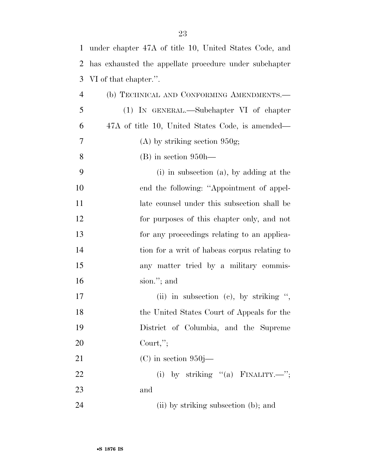| $\mathbf{1}$   | under chapter 47A of title 10, United States Code, and |
|----------------|--------------------------------------------------------|
| 2              | has exhausted the appellate procedure under subchapter |
| 3              | VI of that chapter.".                                  |
| $\overline{4}$ | (b) TECHNICAL AND CONFORMING AMENDMENTS.-              |
| 5              | (1) IN GENERAL.—Subchapter VI of chapter               |
| 6              | 47A of title 10, United States Code, is amended—       |
| 7              | $(A)$ by striking section 950g;                        |
| 8              | $(B)$ in section 950h—                                 |
| 9              | $(i)$ in subsection $(a)$ , by adding at the           |
| 10             | end the following: "Appointment of appel-              |
| 11             | late counsel under this subsection shall be            |
| 12             | for purposes of this chapter only, and not             |
| 13             | for any proceedings relating to an applica-            |
| 14             | tion for a writ of habeas corpus relating to           |
| 15             | any matter tried by a military commis-                 |
| 16             | sion."; and                                            |
| 17             | (ii) in subsection (c), by striking ",                 |
| 18             | the United States Court of Appeals for the             |
| 19             | District of Columbia, and the Supreme                  |
| 20             | Court,";                                               |
| 21             | $(C)$ in section 950j—                                 |
| 22             | (i) by striking $"$ (a) FINALITY.—";                   |
| 23             | and                                                    |
| 24             | (ii) by striking subsection (b); and                   |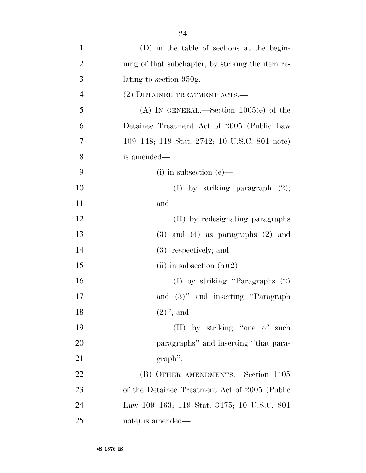| $\mathbf{1}$   | (D) in the table of sections at the begin-        |
|----------------|---------------------------------------------------|
| $\overline{2}$ | ning of that subchapter, by striking the item re- |
| 3              | lating to section 950g.                           |
| $\overline{4}$ | (2) DETAINEE TREATMENT ACTS.—                     |
| 5              | (A) IN GENERAL.—Section $1005(e)$ of the          |
| 6              | Detainee Treatment Act of 2005 (Public Law        |
| 7              | 109–148; 119 Stat. 2742; 10 U.S.C. 801 note)      |
| 8              | is amended—                                       |
| 9              | $(i)$ in subsection $(e)$ —                       |
| 10             | $(I)$ by striking paragraph $(2)$ ;               |
| 11             | and                                               |
| 12             | (II) by redesignating paragraphs                  |
| 13             | $(3)$ and $(4)$ as paragraphs $(2)$ and           |
| 14             | $(3)$ , respectively; and                         |
| 15             | (ii) in subsection $(h)(2)$ —                     |
| 16             | (I) by striking "Paragraphs $(2)$                 |
| 17             | and (3)" and inserting "Paragraph"                |
| 18             | $(2)$ "; and                                      |
| 19             | (II) by striking "one of such                     |
| 20             | paragraphs" and inserting "that para-             |
| 21             | $graph$ .                                         |
| 22             | (B) OTHER AMENDMENTS.—Section 1405                |
| 23             | of the Detainee Treatment Act of 2005 (Public     |
| 24             | Law 109–163; 119 Stat. 3475; 10 U.S.C. 801        |
| 25             | note) is amended—                                 |